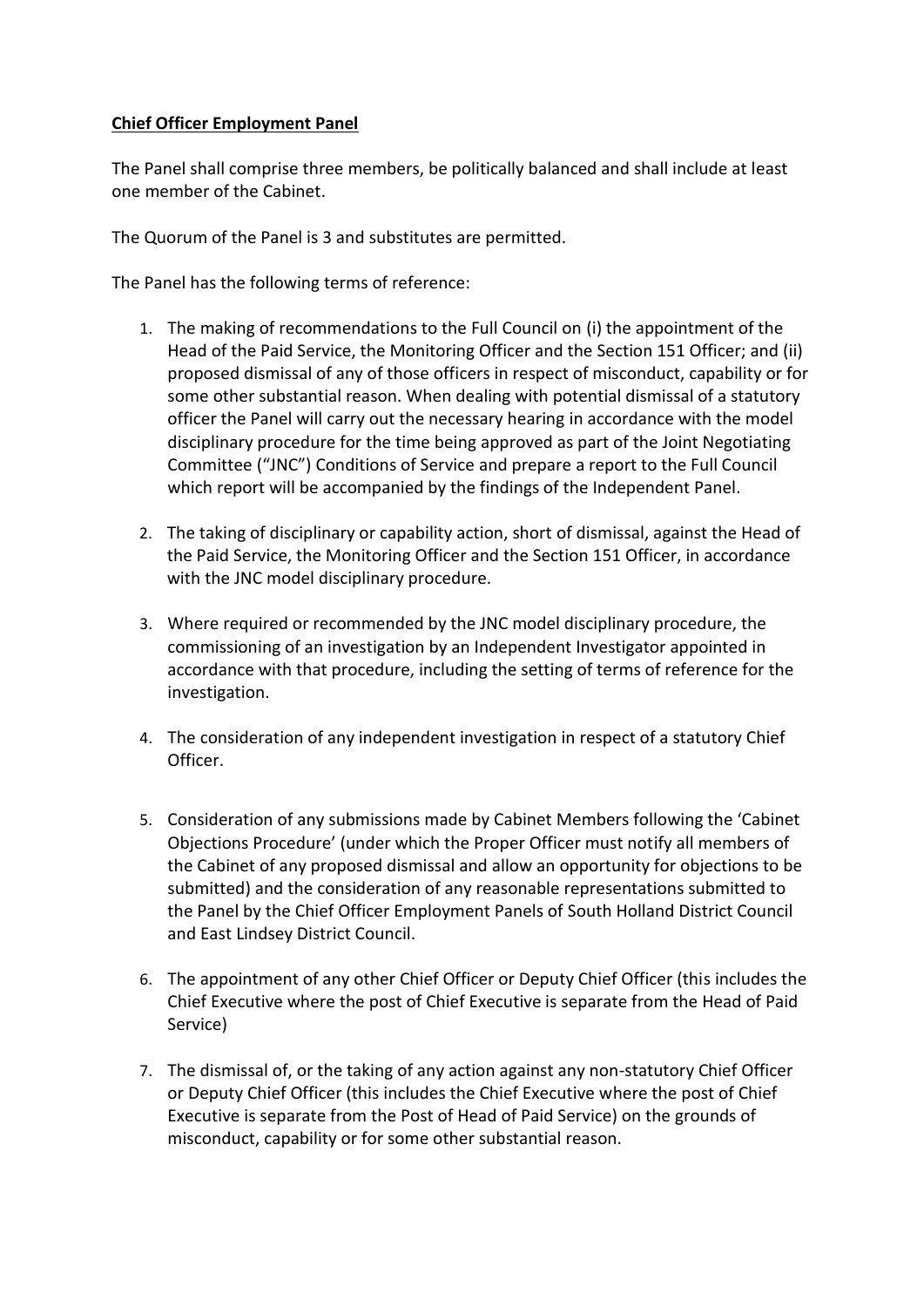## **Chief Officer Employment Panel**

The Panel shall comprise three members, be politically balanced and shall include at least one member of the Cabinet.

The Quorum of the Panel is 3 and substitutes are permitted.

The Panel has the following terms of reference:

- 1. The making of recommendations to the Full Council on (i) the appointment of the Head of the Paid Service, the Monitoring Officer and the Section 151 Officer; and (ii) proposed dismissal of any of those officers in respect of misconduct, capability or for some other substantial reason. When dealing with potential dismissal of a statutory officer the Panel will carry out the necessary hearing in accordance with the model disciplinary procedure for the time being approved as part of the Joint Negotiating Committee ("JNC") Conditions of Service and prepare a report to the Full Council which report will be accompanied by the findings of the Independent Panel.
- 2. The taking of disciplinary or capability action, short of dismissal, against the Head of the Paid Service, the Monitoring Officer and the Section 151 Officer, in accordance with the JNC model disciplinary procedure.
- 3. Where required or recommended by the JNC model disciplinary procedure, the commissioning of an investigation by an Independent Investigator appointed in accordance with that procedure, including the setting of terms of reference for the investigation.
- 4. The consideration of any independent investigation in respect of a statutory Chief Officer.
- 5. Consideration of any submissions made by Cabinet Members following the 'Cabinet Objections Procedure' (under which the Proper Officer must notify all members of the Cabinet of any proposed dismissal and allow an opportunity for objections to be submitted) and the consideration of any reasonable representations submitted to the Panel by the Chief Officer Employment Panels of South Holland District Council and East Lindsey District Council.
- 6. The appointment of any other Chief Officer or Deputy Chief Officer (this includes the Chief Executive where the post of Chief Executive is separate from the Head of Paid Service)
- 7. The dismissal of, or the taking of any action against any non-statutory Chief Officer or Deputy Chief Officer (this includes the Chief Executive where the post of Chief Executive is separate from the Post of Head of Paid Service) on the grounds of misconduct, capability or for some other substantial reason.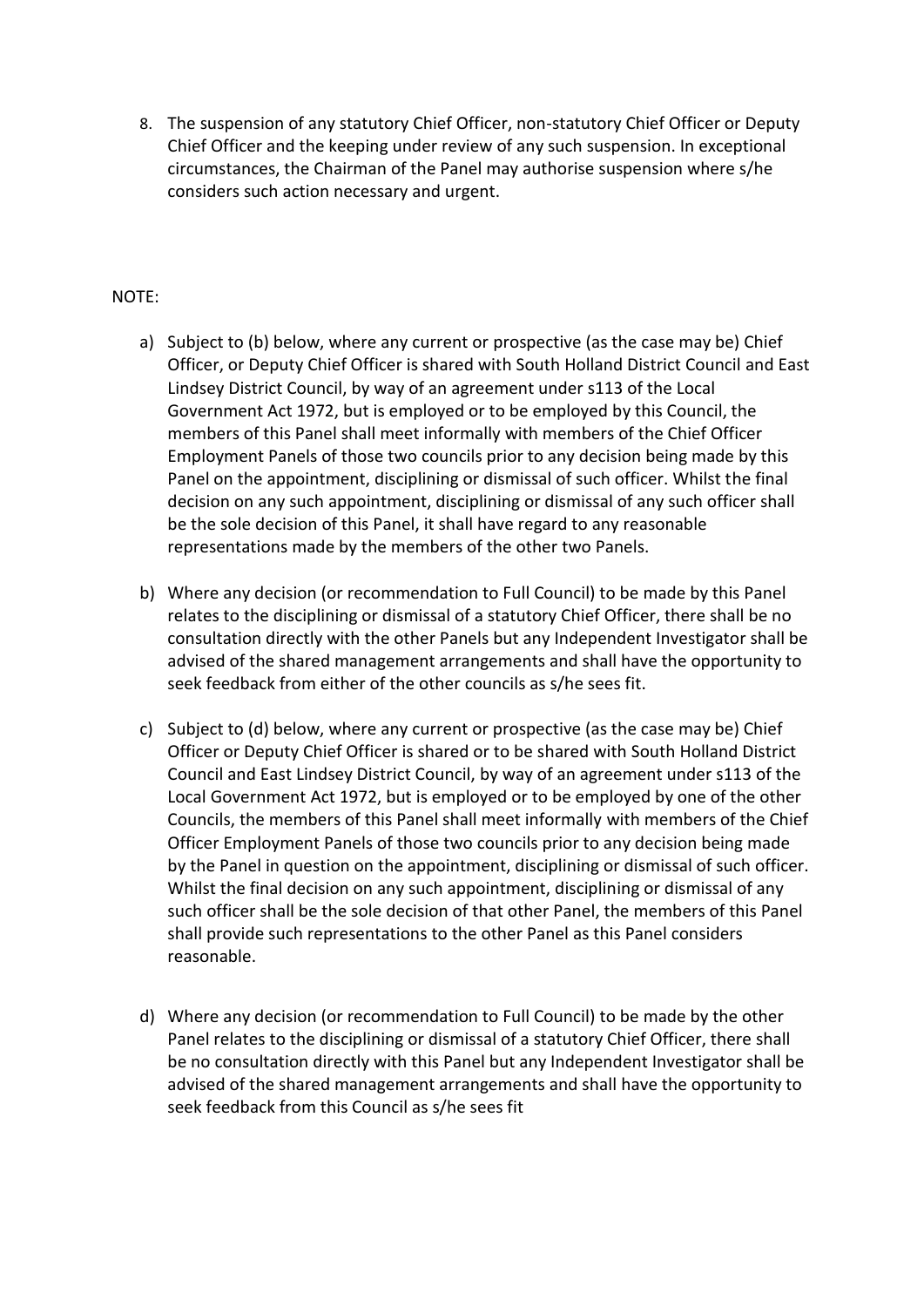8. The suspension of any statutory Chief Officer, non-statutory Chief Officer or Deputy Chief Officer and the keeping under review of any such suspension. In exceptional circumstances, the Chairman of the Panel may authorise suspension where s/he considers such action necessary and urgent.

## NOTE:

- a) Subject to (b) below, where any current or prospective (as the case may be) Chief Officer, or Deputy Chief Officer is shared with South Holland District Council and East Lindsey District Council, by way of an agreement under s113 of the Local Government Act 1972, but is employed or to be employed by this Council, the members of this Panel shall meet informally with members of the Chief Officer Employment Panels of those two councils prior to any decision being made by this Panel on the appointment, disciplining or dismissal of such officer. Whilst the final decision on any such appointment, disciplining or dismissal of any such officer shall be the sole decision of this Panel, it shall have regard to any reasonable representations made by the members of the other two Panels.
- b) Where any decision (or recommendation to Full Council) to be made by this Panel relates to the disciplining or dismissal of a statutory Chief Officer, there shall be no consultation directly with the other Panels but any Independent Investigator shall be advised of the shared management arrangements and shall have the opportunity to seek feedback from either of the other councils as s/he sees fit.
- c) Subject to (d) below, where any current or prospective (as the case may be) Chief Officer or Deputy Chief Officer is shared or to be shared with South Holland District Council and East Lindsey District Council, by way of an agreement under s113 of the Local Government Act 1972, but is employed or to be employed by one of the other Councils, the members of this Panel shall meet informally with members of the Chief Officer Employment Panels of those two councils prior to any decision being made by the Panel in question on the appointment, disciplining or dismissal of such officer. Whilst the final decision on any such appointment, disciplining or dismissal of any such officer shall be the sole decision of that other Panel, the members of this Panel shall provide such representations to the other Panel as this Panel considers reasonable.
- d) Where any decision (or recommendation to Full Council) to be made by the other Panel relates to the disciplining or dismissal of a statutory Chief Officer, there shall be no consultation directly with this Panel but any Independent Investigator shall be advised of the shared management arrangements and shall have the opportunity to seek feedback from this Council as s/he sees fit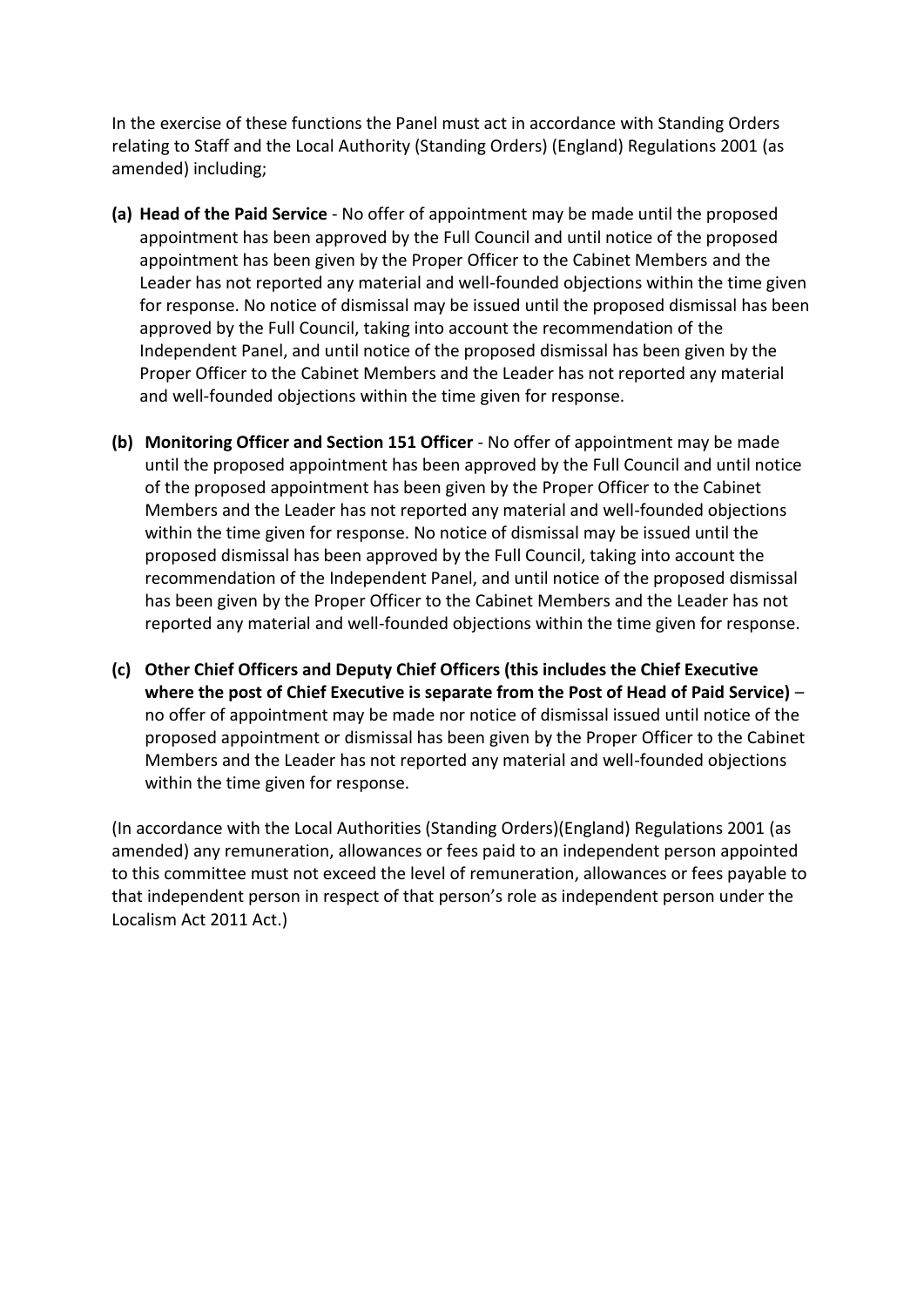In the exercise of these functions the Panel must act in accordance with Standing Orders relating to Staff and the Local Authority (Standing Orders) (England) Regulations 2001 (as amended) including;

- **(a) Head of the Paid Service**  No offer of appointment may be made until the proposed appointment has been approved by the Full Council and until notice of the proposed appointment has been given by the Proper Officer to the Cabinet Members and the Leader has not reported any material and well-founded objections within the time given for response. No notice of dismissal may be issued until the proposed dismissal has been approved by the Full Council, taking into account the recommendation of the Independent Panel, and until notice of the proposed dismissal has been given by the Proper Officer to the Cabinet Members and the Leader has not reported any material and well-founded objections within the time given for response.
- **(b) Monitoring Officer and Section 151 Officer**  No offer of appointment may be made until the proposed appointment has been approved by the Full Council and until notice of the proposed appointment has been given by the Proper Officer to the Cabinet Members and the Leader has not reported any material and well-founded objections within the time given for response. No notice of dismissal may be issued until the proposed dismissal has been approved by the Full Council, taking into account the recommendation of the Independent Panel, and until notice of the proposed dismissal has been given by the Proper Officer to the Cabinet Members and the Leader has not reported any material and well-founded objections within the time given for response.
- **(c) Other Chief Officers and Deputy Chief Officers (this includes the Chief Executive where the post of Chief Executive is separate from the Post of Head of Paid Service)** – no offer of appointment may be made nor notice of dismissal issued until notice of the proposed appointment or dismissal has been given by the Proper Officer to the Cabinet Members and the Leader has not reported any material and well-founded objections within the time given for response.

(In accordance with the Local Authorities (Standing Orders)(England) Regulations 2001 (as amended) any remuneration, allowances or fees paid to an independent person appointed to this committee must not exceed the level of remuneration, allowances or fees payable to that independent person in respect of that person's role as independent person under the Localism Act 2011 Act.)